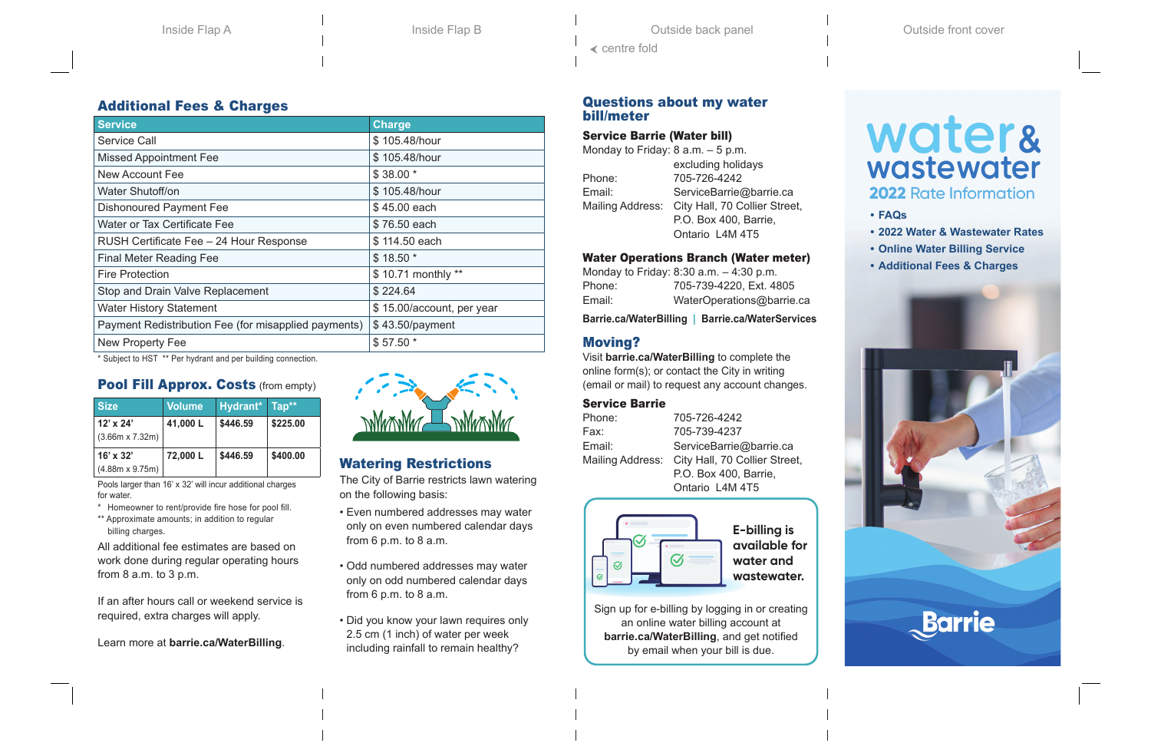# Additional Fees & Charges

| <b>Service</b>                                       | <b>Charge</b>             |
|------------------------------------------------------|---------------------------|
| Service Call                                         | \$105.48/hour             |
| <b>Missed Appointment Fee</b>                        | \$105.48/hour             |
| <b>New Account Fee</b>                               | $$38.00*$                 |
| Water Shutoff/on                                     | \$105.48/hour             |
| <b>Dishonoured Payment Fee</b>                       | \$45.00 each              |
| Water or Tax Certificate Fee                         | \$76.50 each              |
| RUSH Certificate Fee - 24 Hour Response              | \$114.50 each             |
| <b>Final Meter Reading Fee</b>                       | $$18.50*$                 |
| <b>Fire Protection</b>                               | \$10.71 monthly **        |
| Stop and Drain Valve Replacement                     | \$224.64                  |
| <b>Water History Statement</b>                       | \$15.00/account, per year |
| Payment Redistribution Fee (for misapplied payments) | \$43.50/payment           |
| <b>New Property Fee</b>                              | \$57.50 *                 |
|                                                      |                           |

\* Subject to HST \*\* Per hydrant and per building connection.

# Pool Fill Approx. Costs (from empty)

| <b>Size</b>                                | <b>Volume</b> | Hydrant* Tap** |          |
|--------------------------------------------|---------------|----------------|----------|
| $12' \times 24'$<br>$(3.66m \times 7.32m)$ | 41,000L       | \$446.59       | \$225.00 |
| $16' \times 32'$<br>$(4.88m \times 9.75m)$ | 72,000L       | \$446.59       | \$400.00 |

Pools larger than 16' x 32' will incur additional charges for water.

\* Homeowner to rent/provide fire hose for pool fill.

\*\* Approximate amounts; in addition to regular billing charges.

All additional fee estimates are based on work done during regular operating hours from 8 a.m. to 3 p.m.

If an after hours call or weekend service is required, extra charges will apply.

Learn more at **[barrie.ca/WaterBilling](www.barrie.ca/WaterBilling)**.



# Watering Restrictions

The City of Barrie restricts lawn watering on the following basis:

- Even numbered addresses may water only on even numbered calendar days from 6 p.m. to 8 a.m.
- Odd numbered addresses may water only on odd numbered calendar days from 6 p.m. to 8 a.m.
- Did you know your lawn requires only 2.5 cm (1 inch) of water per week including rainfall to remain healthy?

#### Questions about my water bill/meter

#### Service Barrie (Water bill)

| Monday to Friday: $8$ a.m. $-5$ p.m. |                               |
|--------------------------------------|-------------------------------|
|                                      | excluding holidays            |
| Phone:                               | 705-726-4242                  |
| Email:                               | ServiceBarrie@barrie.ca       |
| Mailing Address:                     | City Hall, 70 Collier Street, |
|                                      | P.O. Box 400, Barrie,         |
|                                      | Ontario L4M 4T5               |
|                                      |                               |

#### Water Operations Branch (Water meter)

Monday to Friday: 8:30 a.m. – 4:30 p.m. Phone: 705-739-4220, Ext. 4805 Email: WaterOperations@barrie.ca

**[Barrie.ca/WaterBilling](www.barrie.ca/WaterBilling) | [Barrie.ca/WaterServices](www.Barrie.ca/WaterServices)**

# Moving?

Visit **[barrie.ca/WaterBilling](www.barrie.ca/WaterBilling)** to complete the online form(s); or contact the City in writing (email or mail) to request any account changes.

## Service Barrie

Phone: 705-726-4242 Fax: 705-739-4237 Email: ServiceBarrie@barrie.ca Mailing Address: City Hall, 70 Collier Street, P.O. Box 400, Barrie, Ontario L4M 4T5



**E-billing is available for water and wastewater.**

Sign up for e-billing by logging in or creating an online water billing account at **[barrie.ca/WaterBilling](www.barrie.ca/WaterBilling)**, and get notified by email when your bill is due.

# water& wastewater

# 2022 Rate Information

- **• FAQs**
- **• 2022 Water & Wastewater Rates**
- **• Online Water Billing Service**
- **• Additional Fees & Charges**